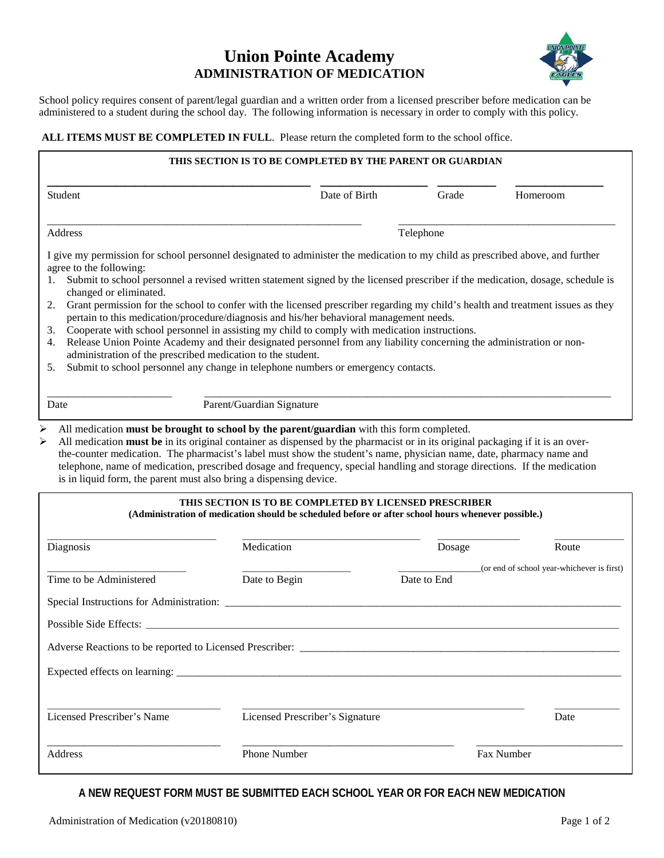## **Union Pointe Academy ADMINISTRATION OF MEDICATION**



School policy requires consent of parent/legal guardian and a written order from a licensed prescriber before medication can be administered to a student during the school day. The following information is necessary in order to comply with this policy.

## **ALL ITEMS MUST BE COMPLETED IN FULL**. Please return the completed form to the school office.

|                                                                                                                                                                                                                                                                                                                                                                                                                                                                                                                                                                                                                                                                                                                                                                                                                                                                                                                                                                 | THIS SECTION IS TO BE COMPLETED BY THE PARENT OR GUARDIAN                                                                                                    |               |             |                                            |
|-----------------------------------------------------------------------------------------------------------------------------------------------------------------------------------------------------------------------------------------------------------------------------------------------------------------------------------------------------------------------------------------------------------------------------------------------------------------------------------------------------------------------------------------------------------------------------------------------------------------------------------------------------------------------------------------------------------------------------------------------------------------------------------------------------------------------------------------------------------------------------------------------------------------------------------------------------------------|--------------------------------------------------------------------------------------------------------------------------------------------------------------|---------------|-------------|--------------------------------------------|
| Student                                                                                                                                                                                                                                                                                                                                                                                                                                                                                                                                                                                                                                                                                                                                                                                                                                                                                                                                                         |                                                                                                                                                              | Date of Birth | Grade       | Homeroom                                   |
| Address                                                                                                                                                                                                                                                                                                                                                                                                                                                                                                                                                                                                                                                                                                                                                                                                                                                                                                                                                         |                                                                                                                                                              |               | Telephone   |                                            |
| I give my permission for school personnel designated to administer the medication to my child as prescribed above, and further<br>agree to the following:<br>Submit to school personnel a revised written statement signed by the licensed prescriber if the medication, dosage, schedule is<br>1.<br>changed or eliminated.<br>Grant permission for the school to confer with the licensed prescriber regarding my child's health and treatment issues as they<br>2.<br>pertain to this medication/procedure/diagnosis and his/her behavioral management needs.<br>Cooperate with school personnel in assisting my child to comply with medication instructions.<br>3.<br>Release Union Pointe Academy and their designated personnel from any liability concerning the administration or non-<br>4.<br>administration of the prescribed medication to the student.<br>Submit to school personnel any change in telephone numbers or emergency contacts.<br>5. |                                                                                                                                                              |               |             |                                            |
| Date<br>➤<br>All medication must be brought to school by the parent/guardian with this form completed.<br>All medication must be in its original container as dispensed by the pharmacist or in its original packaging if it is an over-<br>➤<br>the-counter medication. The pharmacist's label must show the student's name, physician name, date, pharmacy name and<br>telephone, name of medication, prescribed dosage and frequency, special handling and storage directions. If the medication<br>is in liquid form, the parent must also bring a dispensing device.                                                                                                                                                                                                                                                                                                                                                                                       | Parent/Guardian Signature                                                                                                                                    |               |             |                                            |
|                                                                                                                                                                                                                                                                                                                                                                                                                                                                                                                                                                                                                                                                                                                                                                                                                                                                                                                                                                 | THIS SECTION IS TO BE COMPLETED BY LICENSED PRESCRIBER<br>(Administration of medication should be scheduled before or after school hours whenever possible.) |               |             |                                            |
| Diagnosis                                                                                                                                                                                                                                                                                                                                                                                                                                                                                                                                                                                                                                                                                                                                                                                                                                                                                                                                                       | Medication                                                                                                                                                   |               | Dosage      | Route                                      |
| Time to be Administered                                                                                                                                                                                                                                                                                                                                                                                                                                                                                                                                                                                                                                                                                                                                                                                                                                                                                                                                         | Date to Begin                                                                                                                                                |               | Date to End | (or end of school year-whichever is first) |
|                                                                                                                                                                                                                                                                                                                                                                                                                                                                                                                                                                                                                                                                                                                                                                                                                                                                                                                                                                 |                                                                                                                                                              |               |             |                                            |
| Possible Side Effects: _                                                                                                                                                                                                                                                                                                                                                                                                                                                                                                                                                                                                                                                                                                                                                                                                                                                                                                                                        |                                                                                                                                                              |               |             |                                            |
| Adverse Reactions to be reported to Licensed Prescriber: _________                                                                                                                                                                                                                                                                                                                                                                                                                                                                                                                                                                                                                                                                                                                                                                                                                                                                                              |                                                                                                                                                              |               |             |                                            |
|                                                                                                                                                                                                                                                                                                                                                                                                                                                                                                                                                                                                                                                                                                                                                                                                                                                                                                                                                                 |                                                                                                                                                              |               |             |                                            |
| Licensed Prescriber's Name                                                                                                                                                                                                                                                                                                                                                                                                                                                                                                                                                                                                                                                                                                                                                                                                                                                                                                                                      | Licensed Prescriber's Signature                                                                                                                              |               |             | Date                                       |
| Address                                                                                                                                                                                                                                                                                                                                                                                                                                                                                                                                                                                                                                                                                                                                                                                                                                                                                                                                                         | Phone Number                                                                                                                                                 |               |             | Fax Number                                 |

## **A NEW REQUEST FORM MUST BE SUBMITTED EACH SCHOOL YEAR OR FOR EACH NEW MEDICATION**